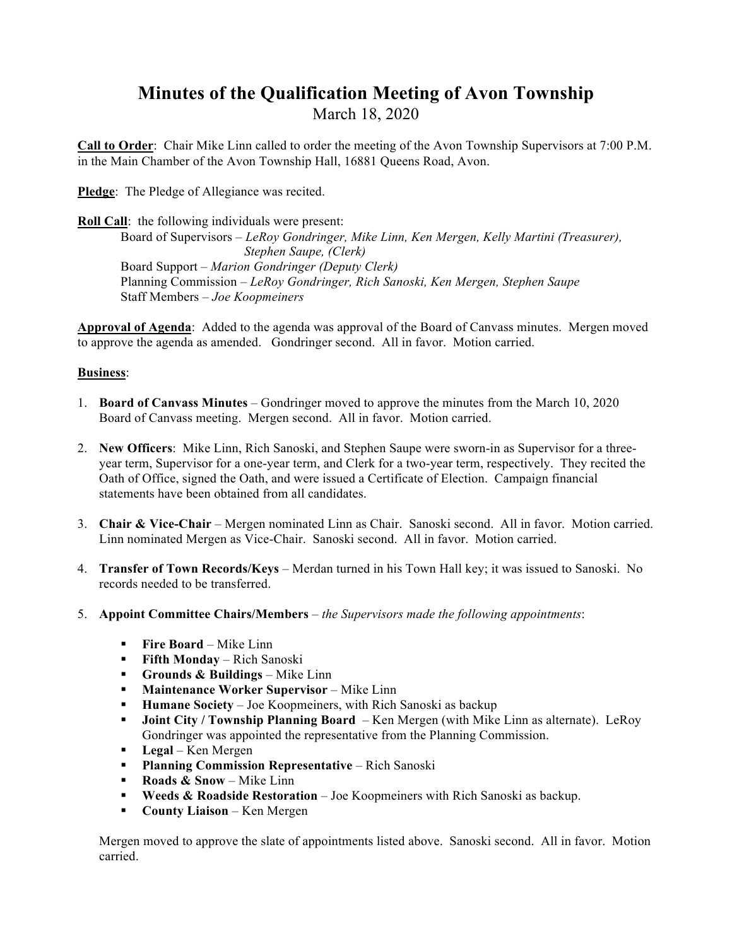## **Minutes of the Qualification Meeting of Avon Township**  March 18, 2020

**Call to Order**: Chair Mike Linn called to order the meeting of the Avon Township Supervisors at 7:00 P.M. in the Main Chamber of the Avon Township Hall, 16881 Queens Road, Avon.

**Pledge**: The Pledge of Allegiance was recited.

**Roll Call**: the following individuals were present: Board of Supervisors *– LeRoy Gondringer, Mike Linn, Ken Mergen, Kelly Martini (Treasurer), Stephen Saupe, (Clerk)* Board Support – *Marion Gondringer (Deputy Clerk)* Planning Commission *– LeRoy Gondringer, Rich Sanoski, Ken Mergen, Stephen Saupe* Staff Members *– Joe Koopmeiners*

**Approval of Agenda**: Added to the agenda was approval of the Board of Canvass minutes. Mergen moved to approve the agenda as amended. Gondringer second. All in favor. Motion carried.

### **Business**:

- 1. **Board of Canvass Minutes** Gondringer moved to approve the minutes from the March 10, 2020 Board of Canvass meeting. Mergen second. All in favor. Motion carried.
- 2. **New Officers**: Mike Linn, Rich Sanoski, and Stephen Saupe were sworn-in as Supervisor for a threeyear term, Supervisor for a one-year term, and Clerk for a two-year term, respectively. They recited the Oath of Office, signed the Oath, and were issued a Certificate of Election. Campaign financial statements have been obtained from all candidates.
- 3. **Chair & Vice-Chair** Mergen nominated Linn as Chair. Sanoski second. All in favor. Motion carried. Linn nominated Mergen as Vice-Chair. Sanoski second. All in favor. Motion carried.
- 4. **Transfer of Town Records/Keys** Merdan turned in his Town Hall key; it was issued to Sanoski. No records needed to be transferred.
- 5. **Appoint Committee Chairs/Members** *the Supervisors made the following appointments*:
	- ! **Fire Board** Mike Linn
	- **Fifth Monday Rich Sanoski**
	- ! **Grounds & Buildings** Mike Linn
	- **Maintenance Worker Supervisor** Mike Linn
	- **Humane Society** Joe Koopmeiners, with Rich Sanoski as backup
	- ! **Joint City / Township Planning Board**  Ken Mergen (with Mike Linn as alternate). LeRoy Gondringer was appointed the representative from the Planning Commission.
	- ! **Legal** Ken Mergen
	- ! **Planning Commission Representative** Rich Sanoski
	- ! **Roads & Snow** Mike Linn
	- ! **Weeds & Roadside Restoration** Joe Koopmeiners with Rich Sanoski as backup.
	- **County Liaison** Ken Mergen

Mergen moved to approve the slate of appointments listed above. Sanoski second. All in favor. Motion carried.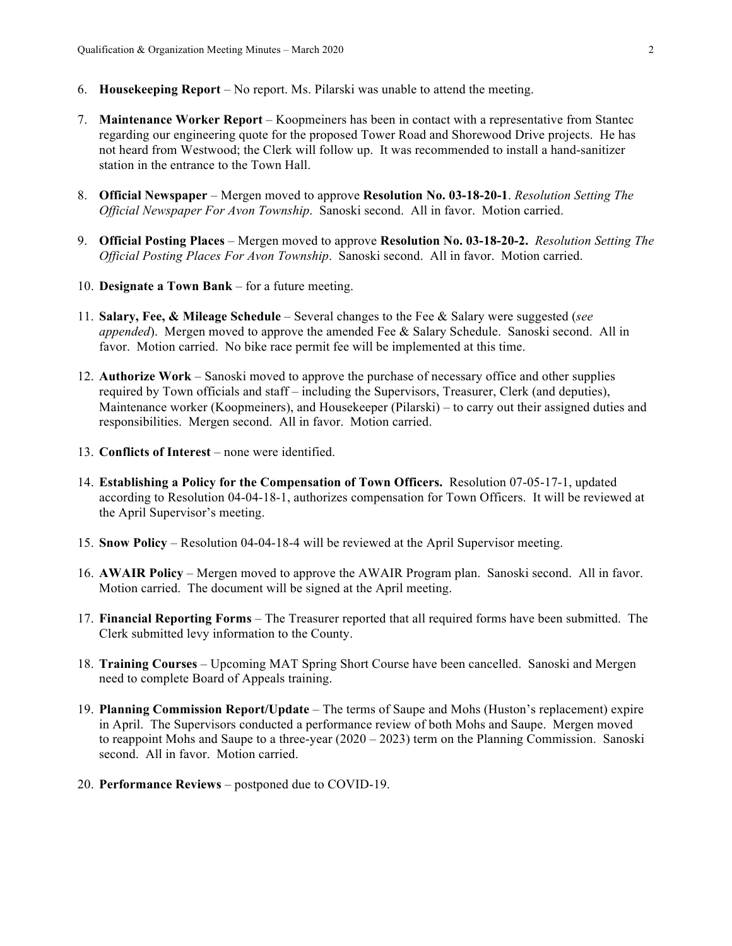- 6. **Housekeeping Report** No report. Ms. Pilarski was unable to attend the meeting.
- 7. **Maintenance Worker Report** Koopmeiners has been in contact with a representative from Stantec regarding our engineering quote for the proposed Tower Road and Shorewood Drive projects. He has not heard from Westwood; the Clerk will follow up. It was recommended to install a hand-sanitizer station in the entrance to the Town Hall.
- 8. **Official Newspaper**  Mergen moved to approve **Resolution No. 03-18-20-1**. *Resolution Setting The Official Newspaper For Avon Township*. Sanoski second. All in favor. Motion carried.
- 9. **Official Posting Places** Mergen moved to approve **Resolution No. 03-18-20-2.** *Resolution Setting The Official Posting Places For Avon Township*. Sanoski second. All in favor. Motion carried.
- 10. **Designate a Town Bank** for a future meeting.
- 11. **Salary, Fee, & Mileage Schedule** Several changes to the Fee & Salary were suggested (*see appended*). Mergen moved to approve the amended Fee & Salary Schedule. Sanoski second. All in favor. Motion carried. No bike race permit fee will be implemented at this time.
- 12. **Authorize Work** Sanoski moved to approve the purchase of necessary office and other supplies required by Town officials and staff – including the Supervisors, Treasurer, Clerk (and deputies), Maintenance worker (Koopmeiners), and Housekeeper (Pilarski) – to carry out their assigned duties and responsibilities. Mergen second. All in favor. Motion carried.
- 13. **Conflicts of Interest** none were identified.
- 14. **Establishing a Policy for the Compensation of Town Officers.** Resolution 07-05-17-1, updated according to Resolution 04-04-18-1, authorizes compensation for Town Officers. It will be reviewed at the April Supervisor's meeting.
- 15. **Snow Policy** Resolution 04-04-18-4 will be reviewed at the April Supervisor meeting.
- 16. **AWAIR Policy** Mergen moved to approve the AWAIR Program plan. Sanoski second. All in favor. Motion carried. The document will be signed at the April meeting.
- 17. **Financial Reporting Forms**  The Treasurer reported that all required forms have been submitted. The Clerk submitted levy information to the County.
- 18. **Training Courses**  Upcoming MAT Spring Short Course have been cancelled. Sanoski and Mergen need to complete Board of Appeals training.
- 19. **Planning Commission Report/Update**  The terms of Saupe and Mohs (Huston's replacement) expire in April. The Supervisors conducted a performance review of both Mohs and Saupe. Mergen moved to reappoint Mohs and Saupe to a three-year (2020 – 2023) term on the Planning Commission. Sanoski second. All in favor. Motion carried.
- 20. **Performance Reviews**  postponed due to COVID-19.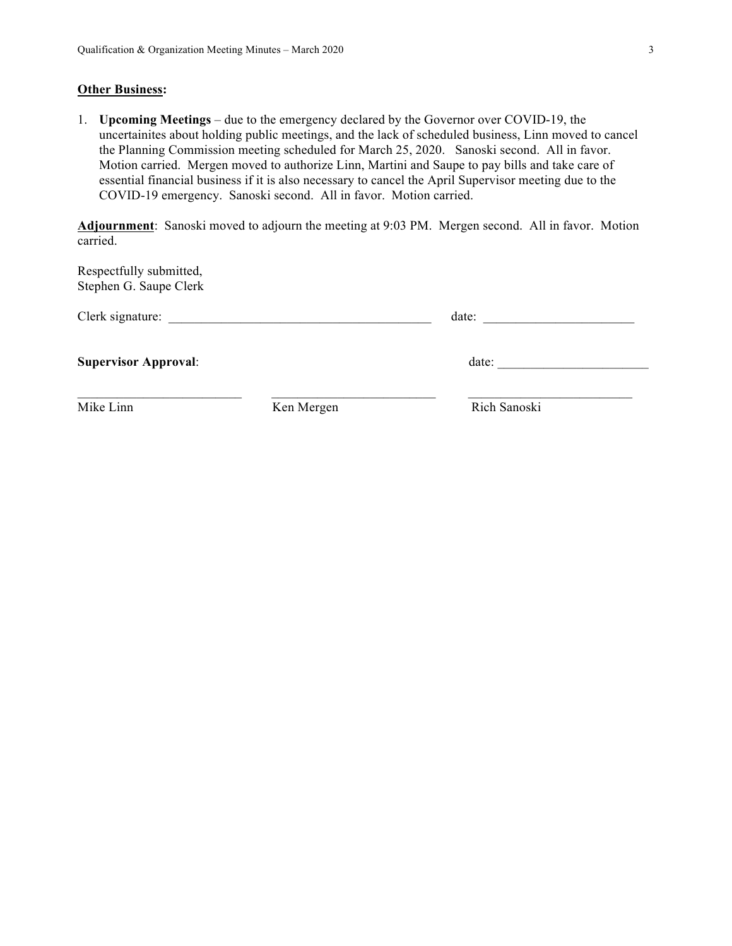#### **Other Business:**

1. **Upcoming Meetings** – due to the emergency declared by the Governor over COVID-19, the uncertainites about holding public meetings, and the lack of scheduled business, Linn moved to cancel the Planning Commission meeting scheduled for March 25, 2020. Sanoski second. All in favor. Motion carried. Mergen moved to authorize Linn, Martini and Saupe to pay bills and take care of essential financial business if it is also necessary to cancel the April Supervisor meeting due to the COVID-19 emergency. Sanoski second. All in favor. Motion carried.

**Adjournment**: Sanoski moved to adjourn the meeting at 9:03 PM. Mergen second. All in favor. Motion carried.

| Clerk signature:            |            | date:        |  |
|-----------------------------|------------|--------------|--|
| <b>Supervisor Approval:</b> |            | date:        |  |
| Mike Linn                   | Ken Mergen | Rich Sanoski |  |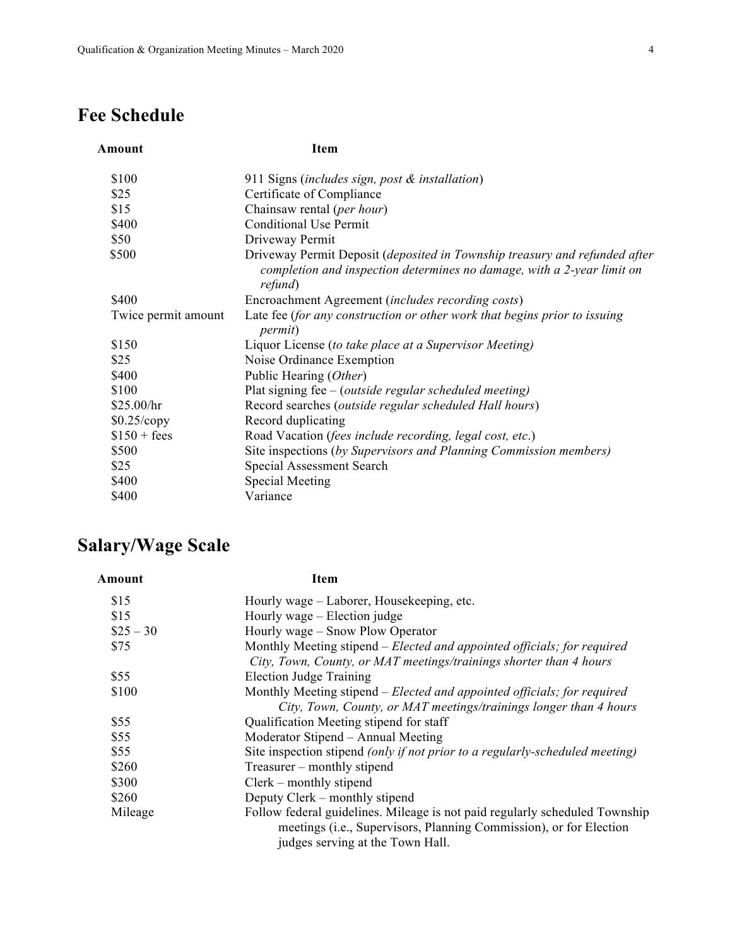# **Fee Schedule**

| Amount              | Item                                                                                                                                                            |  |
|---------------------|-----------------------------------------------------------------------------------------------------------------------------------------------------------------|--|
| \$100               | 911 Signs (includes sign, post & installation)                                                                                                                  |  |
| \$25                | Certificate of Compliance                                                                                                                                       |  |
| \$15                | Chainsaw rental (per hour)                                                                                                                                      |  |
| \$400               | <b>Conditional Use Permit</b>                                                                                                                                   |  |
| \$50                | Driveway Permit                                                                                                                                                 |  |
| \$500               | Driveway Permit Deposit (deposited in Township treasury and refunded after<br>completion and inspection determines no damage, with a 2-year limit on<br>refund) |  |
| \$400               | Encroachment Agreement (includes recording costs)                                                                                                               |  |
| Twice permit amount | Late fee (for any construction or other work that begins prior to issuing<br><i>permit</i> )                                                                    |  |
| \$150               | Liquor License (to take place at a Supervisor Meeting)                                                                                                          |  |
| \$25                | Noise Ordinance Exemption                                                                                                                                       |  |
| \$400               | Public Hearing (Other)                                                                                                                                          |  |
| \$100               | Plat signing fee $-$ (outside regular scheduled meeting)                                                                                                        |  |
| \$25.00/hr          | Record searches (outside regular scheduled Hall hours)                                                                                                          |  |
| $$0.25$ /copy       | Record duplicating                                                                                                                                              |  |
| $$150 + fees$       | Road Vacation (fees include recording, legal cost, etc.)                                                                                                        |  |
| \$500               | Site inspections (by Supervisors and Planning Commission members)                                                                                               |  |
| \$25                | Special Assessment Search                                                                                                                                       |  |
| \$400               | <b>Special Meeting</b>                                                                                                                                          |  |
| \$400               | Variance                                                                                                                                                        |  |

# **Salary/Wage Scale**

| Amount     | Item                                                                                                                                                                                  |  |
|------------|---------------------------------------------------------------------------------------------------------------------------------------------------------------------------------------|--|
| \$15       | Hourly wage – Laborer, Housekeeping, etc.                                                                                                                                             |  |
| \$15       | Hourly wage – Election judge                                                                                                                                                          |  |
| $$25 - 30$ | Hourly wage - Snow Plow Operator                                                                                                                                                      |  |
| \$75       | Monthly Meeting stipend - Elected and appointed officials; for required                                                                                                               |  |
|            | City, Town, County, or MAT meetings/trainings shorter than 4 hours                                                                                                                    |  |
| \$55       | <b>Election Judge Training</b>                                                                                                                                                        |  |
| \$100      | Monthly Meeting stipend – Elected and appointed officials; for required                                                                                                               |  |
|            | City, Town, County, or MAT meetings/trainings longer than 4 hours                                                                                                                     |  |
| \$55       | Qualification Meeting stipend for staff                                                                                                                                               |  |
| \$55       | Moderator Stipend – Annual Meeting                                                                                                                                                    |  |
| \$55       | Site inspection stipend (only if not prior to a regularly-scheduled meeting)                                                                                                          |  |
| \$260      | Treasurer – monthly stipend                                                                                                                                                           |  |
| \$300      | $Clerk$ – monthly stipend                                                                                                                                                             |  |
| \$260      | Deputy Clerk – monthly stipend                                                                                                                                                        |  |
| Mileage    | Follow federal guidelines. Mileage is not paid regularly scheduled Township<br>meetings (i.e., Supervisors, Planning Commission), or for Election<br>judges serving at the Town Hall. |  |
|            |                                                                                                                                                                                       |  |